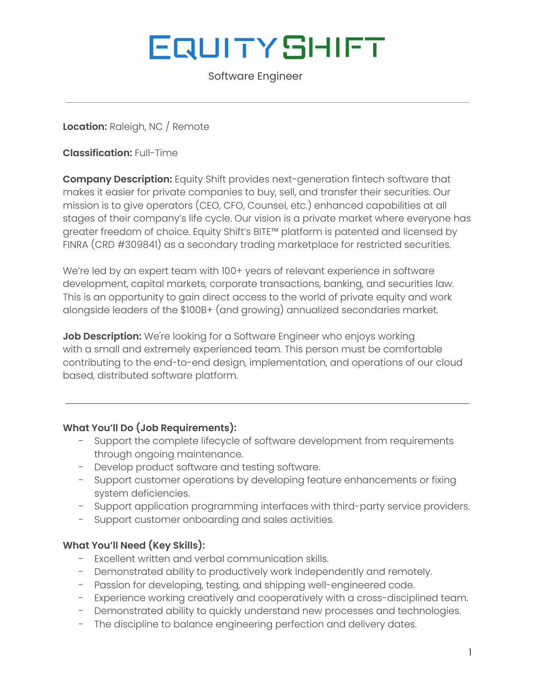# **EQUITYSHIFT**

Software Engineer

**Location:** Raleigh, NC / Remote

**Classification:** Full-Time

**Company Description:** Equity Shift provides next-generation fintech software that makes it easier for private companies to buy, sell, and transfer their securities. Our mission is to give operators (CEO, CFO, Counsel, etc.) enhanced capabilities at all stages of their company's life cycle. Our vision is a private market where everyone has greater freedom of choice. Equity Shift's BITE™ platform is patented and licensed by FINRA (CRD #309841) as a secondary trading marketplace for restricted securities.

We're led by an expert team with 100+ years of relevant experience in software development, capital markets, corporate transactions, banking, and securities law. This is an opportunity to gain direct access to the world of private equity and work alongside leaders of the \$100B+ (and growing) annualized secondaries market.

**Job Description:** We're looking for a Software Engineer who enjoys working with a small and extremely experienced team. This person must be comfortable contributing to the end-to-end design, implementation, and operations of our cloud based, distributed software platform.

## **What You'll Do (Job Requirements):**

- Support the complete lifecycle of software development from requirements through ongoing maintenance.
- Develop product software and testing software.
- Support customer operations by developing feature enhancements or fixing system deficiencies.
- Support application programming interfaces with third-party service providers.
- Support customer onboarding and sales activities.

## **What You'll Need (Key Skills):**

- Excellent written and verbal communication skills.
- Demonstrated ability to productively work independently and remotely.
- Passion for developing, testing, and shipping well-engineered code.
- Experience working creatively and cooperatively with a cross-disciplined team.
- Demonstrated ability to quickly understand new processes and technologies.
- The discipline to balance engineering perfection and delivery dates.